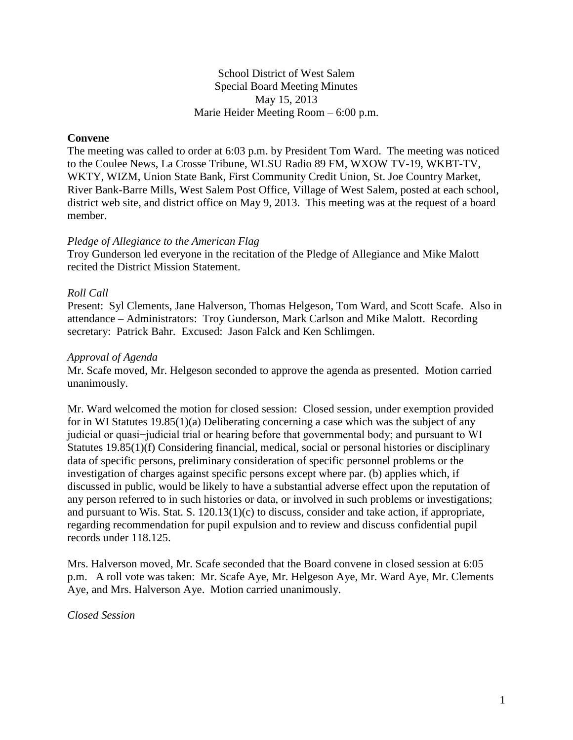School District of West Salem Special Board Meeting Minutes May 15, 2013 Marie Heider Meeting Room – 6:00 p.m.

## **Convene**

The meeting was called to order at 6:03 p.m. by President Tom Ward. The meeting was noticed to the Coulee News, La Crosse Tribune, WLSU Radio 89 FM, WXOW TV-19, WKBT-TV, WKTY, WIZM, Union State Bank, First Community Credit Union, St. Joe Country Market, River Bank-Barre Mills, West Salem Post Office, Village of West Salem, posted at each school, district web site, and district office on May 9, 2013. This meeting was at the request of a board member.

#### *Pledge of Allegiance to the American Flag*

Troy Gunderson led everyone in the recitation of the Pledge of Allegiance and Mike Malott recited the District Mission Statement.

### *Roll Call*

Present: Syl Clements, Jane Halverson, Thomas Helgeson, Tom Ward, and Scott Scafe. Also in attendance – Administrators: Troy Gunderson, Mark Carlson and Mike Malott. Recording secretary: Patrick Bahr. Excused: Jason Falck and Ken Schlimgen.

### *Approval of Agenda*

Mr. Scafe moved, Mr. Helgeson seconded to approve the agenda as presented. Motion carried unanimously.

Mr. Ward welcomed the motion for closed session: Closed session, under exemption provided for in WI Statutes 19.85(1)(a) Deliberating concerning a case which was the subject of any judicial or quasi−judicial trial or hearing before that governmental body; and pursuant to WI Statutes 19.85(1)(f) Considering financial, medical, social or personal histories or disciplinary data of specific persons, preliminary consideration of specific personnel problems or the investigation of charges against specific persons except where par. (b) applies which, if discussed in public, would be likely to have a substantial adverse effect upon the reputation of any person referred to in such histories or data, or involved in such problems or investigations; and pursuant to Wis. Stat. S. 120.13(1)(c) to discuss, consider and take action, if appropriate, regarding recommendation for pupil expulsion and to review and discuss confidential pupil records under 118.125.

Mrs. Halverson moved, Mr. Scafe seconded that the Board convene in closed session at 6:05 p.m. A roll vote was taken: Mr. Scafe Aye, Mr. Helgeson Aye, Mr. Ward Aye, Mr. Clements Aye, and Mrs. Halverson Aye. Motion carried unanimously.

*Closed Session*